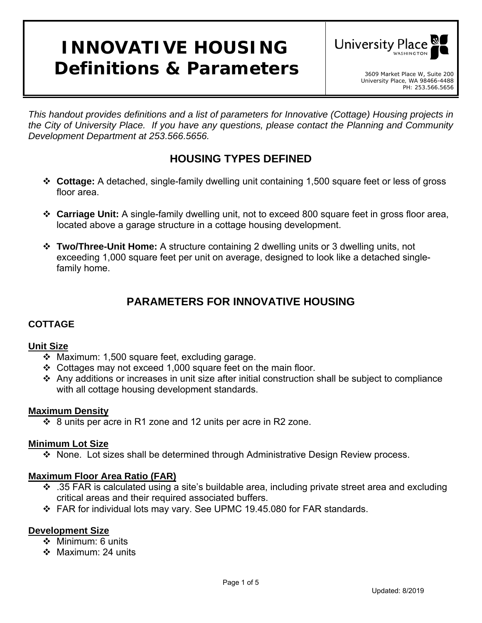# **INNOVATIVE HOUSING Definitions & Parameters** and the secondarket Place W, Suite 200



*This handout provides definitions and a list of parameters for Innovative (Cottage) Housing projects in the City of University Place. If you have any questions, please contact the Planning and Community Development Department at 253.566.5656.* 

## **HOUSING TYPES DEFINED**

- **Cottage:** A detached, single-family dwelling unit containing 1,500 square feet or less of gross floor area.
- **Carriage Unit:** A single-family dwelling unit, not to exceed 800 square feet in gross floor area, located above a garage structure in a cottage housing development.
- **Two/Three-Unit Home:** A structure containing 2 dwelling units or 3 dwelling units, not exceeding 1,000 square feet per unit on average, designed to look like a detached singlefamily home.

## **PARAMETERS FOR INNOVATIVE HOUSING**

## **COTTAGE**

## **Unit Size**

- Maximum: 1,500 square feet, excluding garage.
- Cottages may not exceed 1,000 square feet on the main floor.
- $\div$  Any additions or increases in unit size after initial construction shall be subject to compliance with all cottage housing development standards.

## **Maximum Density**

 $\div$  8 units per acre in R1 zone and 12 units per acre in R2 zone.

## **Minimum Lot Size**

None. Lot sizes shall be determined through Administrative Design Review process.

## **Maximum Floor Area Ratio (FAR)**

- $\cdot$  .35 FAR is calculated using a site's buildable area, including private street area and excluding critical areas and their required associated buffers.
- FAR for individual lots may vary. See UPMC 19.45.080 for FAR standards.

#### **Development Size**

- ❖ Minimum: 6 units
- ❖ Maximum: 24 units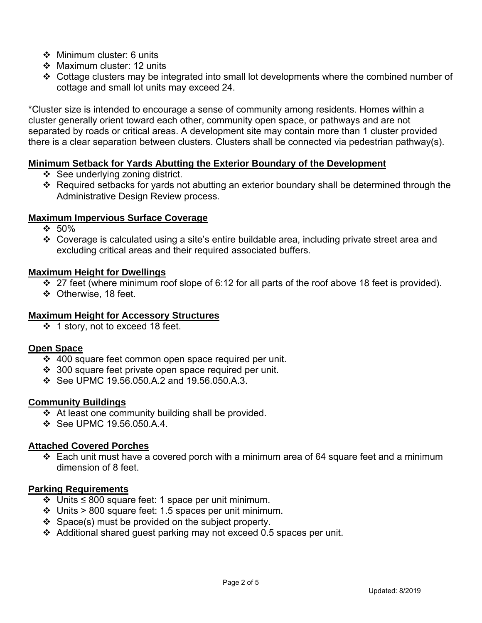- ❖ Minimum cluster: 6 units
- ❖ Maximum cluster: 12 units
- Cottage clusters may be integrated into small lot developments where the combined number of cottage and small lot units may exceed 24.

\*Cluster size is intended to encourage a sense of community among residents. Homes within a cluster generally orient toward each other, community open space, or pathways and are not separated by roads or critical areas. A development site may contain more than 1 cluster provided there is a clear separation between clusters. Clusters shall be connected via pedestrian pathway(s).

## **Minimum Setback for Yards Abutting the Exterior Boundary of the Development**

- ❖ See underlying zoning district.
- Required setbacks for yards not abutting an exterior boundary shall be determined through the Administrative Design Review process.

## **Maximum Impervious Surface Coverage**

- $\div 50\%$
- Coverage is calculated using a site's entire buildable area, including private street area and excluding critical areas and their required associated buffers.

## **Maximum Height for Dwellings**

- $\div$  27 feet (where minimum roof slope of 6:12 for all parts of the roof above 18 feet is provided).
- Otherwise, 18 feet.

## **Maximum Height for Accessory Structures**

❖ 1 story, not to exceed 18 feet.

#### **Open Space**

- 400 square feet common open space required per unit.
- $\div$  300 square feet private open space required per unit.
- See UPMC 19.56.050.A.2 and 19.56.050.A.3.

#### **Community Buildings**

- $\triangleleft$  At least one community building shall be provided.
- $\div$  See UPMC 19.56.050 A 4

## **Attached Covered Porches**

 $\div$  Each unit must have a covered porch with a minimum area of 64 square feet and a minimum dimension of 8 feet.

#### **Parking Requirements**

- Units ≤ 800 square feet: 1 space per unit minimum.
- $\div$  Units > 800 square feet: 1.5 spaces per unit minimum.
- $\div$  Space(s) must be provided on the subject property.
- Additional shared guest parking may not exceed 0.5 spaces per unit.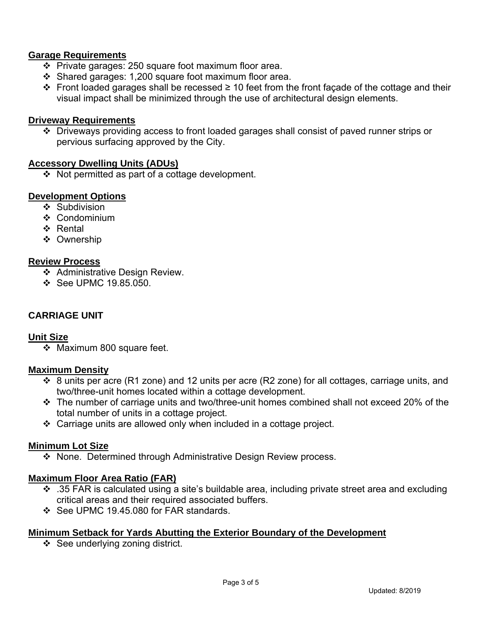## **Garage Requirements**

- $\div$  Private garages: 250 square foot maximum floor area.
- $\div$  Shared garages: 1,200 square foot maximum floor area.
- Front loaded garages shall be recessed  $\geq$  10 feet from the front facade of the cottage and their visual impact shall be minimized through the use of architectural design elements.

#### **Driveway Requirements**

 Driveways providing access to front loaded garages shall consist of paved runner strips or pervious surfacing approved by the City.

#### **Accessory Dwelling Units (ADUs)**

 $\div$  Not permitted as part of a cottage development.

#### **Development Options**

- ❖ Subdivision
- $\div$  Condominium
- ❖ Rental
- ❖ Ownership

#### **Review Process**

- ❖ Administrative Design Review.
- **❖ See UPMC 19.85.050.**

#### **CARRIAGE UNIT**

#### **Unit Size**

 $\div$  Maximum 800 square feet.

#### **Maximum Density**

- $\cdot$  8 units per acre (R1 zone) and 12 units per acre (R2 zone) for all cottages, carriage units, and two/three-unit homes located within a cottage development.
- The number of carriage units and two/three-unit homes combined shall not exceed 20% of the total number of units in a cottage project.
- Carriage units are allowed only when included in a cottage project.

#### **Minimum Lot Size**

None. Determined through Administrative Design Review process.

#### **Maximum Floor Area Ratio (FAR)**

- .35 FAR is calculated using a site's buildable area, including private street area and excluding critical areas and their required associated buffers.
- See UPMC 19.45.080 for FAR standards.

#### **Minimum Setback for Yards Abutting the Exterior Boundary of the Development**

 $\div$  See underlying zoning district.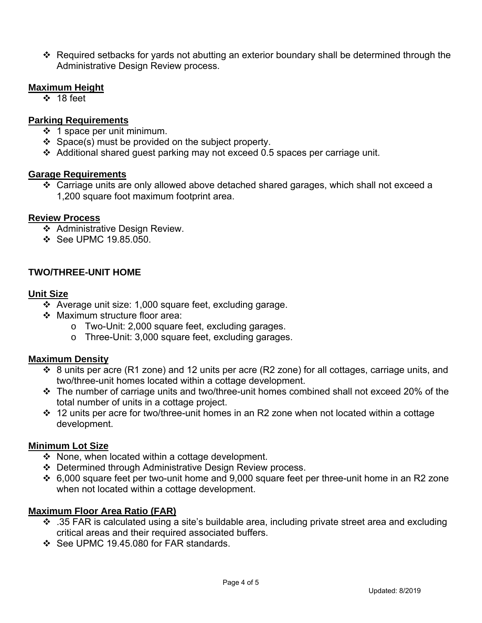Required setbacks for yards not abutting an exterior boundary shall be determined through the Administrative Design Review process.

#### **Maximum Height**

 $\div$  18 feet

### **Parking Requirements**

- $\div$  1 space per unit minimum.
- $\div$  Space(s) must be provided on the subject property.
- Additional shared guest parking may not exceed 0.5 spaces per carriage unit.

#### **Garage Requirements**

 Carriage units are only allowed above detached shared garages, which shall not exceed a 1,200 square foot maximum footprint area.

#### **Review Process**

- ❖ Administrative Design Review.
- **❖ See UPMC 19.85.050.**

## **TWO/THREE-UNIT HOME**

#### **Unit Size**

- $\div$  Average unit size: 1,000 square feet, excluding garage.
- ❖ Maximum structure floor area:
	- o Two-Unit: 2,000 square feet, excluding garages.
	- o Three-Unit: 3,000 square feet, excluding garages.

#### **Maximum Density**

- $\cdot$  8 units per acre (R1 zone) and 12 units per acre (R2 zone) for all cottages, carriage units, and two/three-unit homes located within a cottage development.
- The number of carriage units and two/three-unit homes combined shall not exceed 20% of the total number of units in a cottage project.
- 12 units per acre for two/three-unit homes in an R2 zone when not located within a cottage development.

#### **Minimum Lot Size**

- $\cdot$  None, when located within a cottage development.
- Determined through Administrative Design Review process.
- 6,000 square feet per two-unit home and 9,000 square feet per three-unit home in an R2 zone when not located within a cottage development.

#### **Maximum Floor Area Ratio (FAR)**

- $\cdot$  .35 FAR is calculated using a site's buildable area, including private street area and excluding critical areas and their required associated buffers.
- ❖ See UPMC 19.45.080 for FAR standards.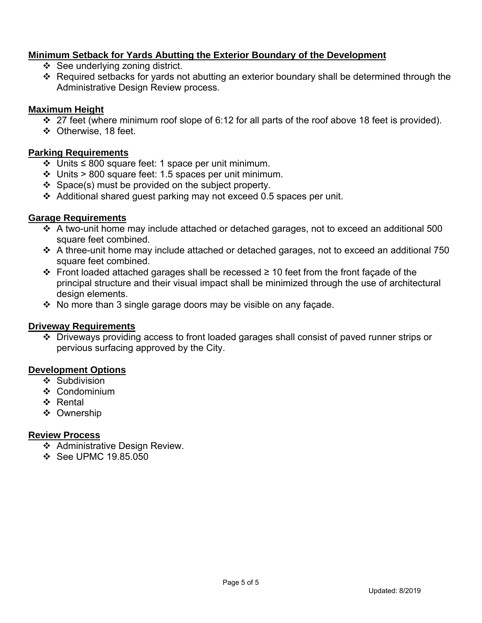## **Minimum Setback for Yards Abutting the Exterior Boundary of the Development**

- $\div$  See underlying zoning district.
- Required setbacks for yards not abutting an exterior boundary shall be determined through the Administrative Design Review process.

## **Maximum Height**

- $\div$  27 feet (where minimum roof slope of 6:12 for all parts of the roof above 18 feet is provided).
- ❖ Otherwise, 18 feet.

## **Parking Requirements**

- Units ≤ 800 square feet: 1 space per unit minimum.
- $\div$  Units > 800 square feet: 1.5 spaces per unit minimum.
- $\div$  Space(s) must be provided on the subject property.
- $\div$  Additional shared quest parking may not exceed 0.5 spaces per unit.

## **Garage Requirements**

- A two-unit home may include attached or detached garages, not to exceed an additional 500 square feet combined.
- A three-unit home may include attached or detached garages, not to exceed an additional 750 square feet combined.
- Front loaded attached garages shall be recessed ≥ 10 feet from the front façade of the principal structure and their visual impact shall be minimized through the use of architectural design elements.
- $\cdot$  No more than 3 single garage doors may be visible on any façade.

#### **Driveway Requirements**

 Driveways providing access to front loaded garages shall consist of paved runner strips or pervious surfacing approved by the City.

#### **Development Options**

- ❖ Subdivision
- ❖ Condominium
- ❖ Rental
- ❖ Ownership

#### **Review Process**

- ❖ Administrative Design Review.
- $\div$  See UPMC 19.85.050